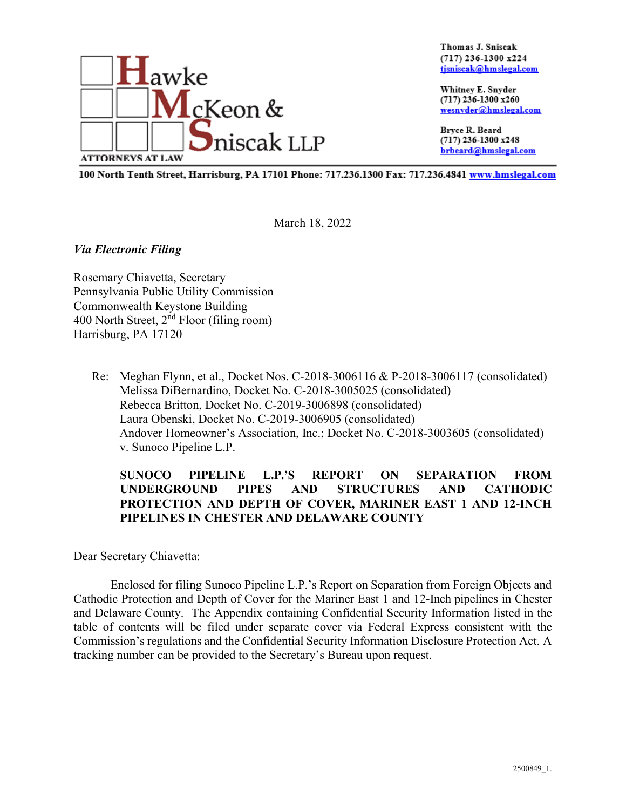

Thomas J. Sniscak  $(717)$  236-1300 x224 tjsniscak@hmslegal.com

Whitney E. Snyder (717) 236-1300 x260 wesnyder@hmslegal.com

Brvce R. Beard (717) 236-1300 x248 brbeard@hmslegal.com

100 North Tenth Street, Harrisburg, PA 17101 Phone: 717.236.1300 Fax: 717.236.4841 www.hmslegal.com

March 18, 2022

*Via Electronic Filing*

Rosemary Chiavetta, Secretary Pennsylvania Public Utility Commission Commonwealth Keystone Building 400 North Street, 2nd Floor (filing room) Harrisburg, PA 17120

Re: Meghan Flynn, et al., Docket Nos. C-2018-3006116 & P-2018-3006117 (consolidated) Melissa DiBernardino, Docket No. C-2018-3005025 (consolidated) Rebecca Britton, Docket No. C-2019-3006898 (consolidated) Laura Obenski, Docket No. C-2019-3006905 (consolidated) Andover Homeowner's Association, Inc.; Docket No. C-2018-3003605 (consolidated) v. Sunoco Pipeline L.P.

# **SUNOCO PIPELINE L.P.'S REPORT ON SEPARATION FROM UNDERGROUND PIPES AND STRUCTURES AND CATHODIC PROTECTION AND DEPTH OF COVER, MARINER EAST 1 AND 12-INCH PIPELINES IN CHESTER AND DELAWARE COUNTY**

Dear Secretary Chiavetta:

Enclosed for filing Sunoco Pipeline L.P.'s Report on Separation from Foreign Objects and Cathodic Protection and Depth of Cover for the Mariner East 1 and 12-Inch pipelines in Chester and Delaware County. The Appendix containing Confidential Security Information listed in the table of contents will be filed under separate cover via Federal Express consistent with the Commission's regulations and the Confidential Security Information Disclosure Protection Act. A tracking number can be provided to the Secretary's Bureau upon request.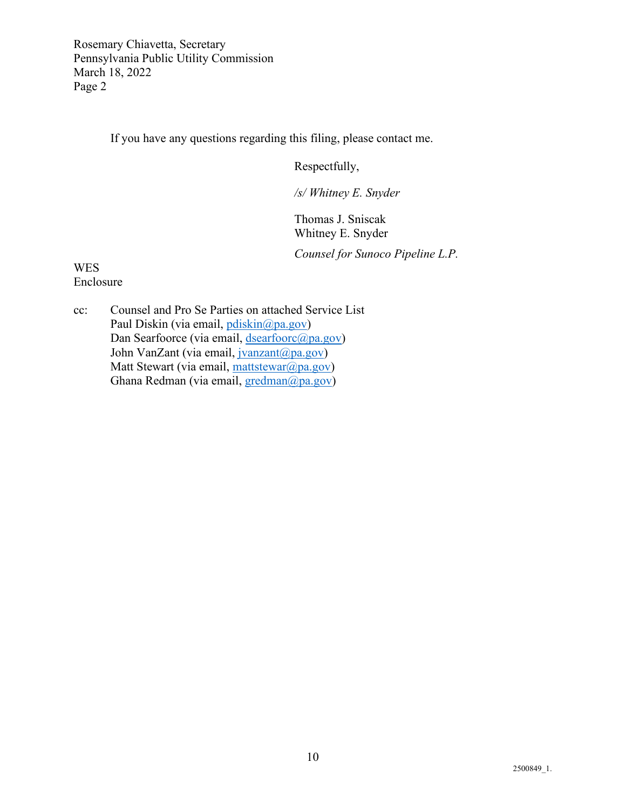Rosemary Chiavetta, Secretary Pennsylvania Public Utility Commission March 18, 2022 Page 2

If you have any questions regarding this filing, please contact me.

Respectfully,

*/s/ Whitney E. Snyder* 

Thomas J. Sniscak Whitney E. Snyder

*Counsel for Sunoco Pipeline L.P.*

WES Enclosure

cc: Counsel and Pro Se Parties on attached Service List Paul Diskin (via email, [pdiskin@pa.gov\)](mailto:pdiskin@pa.gov) Dan Searfoorce (via email, [dsearfoorc@pa.gov\)](mailto:dsearfoorc@pa.gov) John VanZant (via email, [jvanzant@pa.gov\)](mailto:jvanzant@pa.gov) Matt Stewart (via email, [mattstewar@pa.gov\)](mailto:mattstewar@pa.gov) Ghana Redman (via email, [gredman@pa.gov\)](mailto:gredman@pa.gov)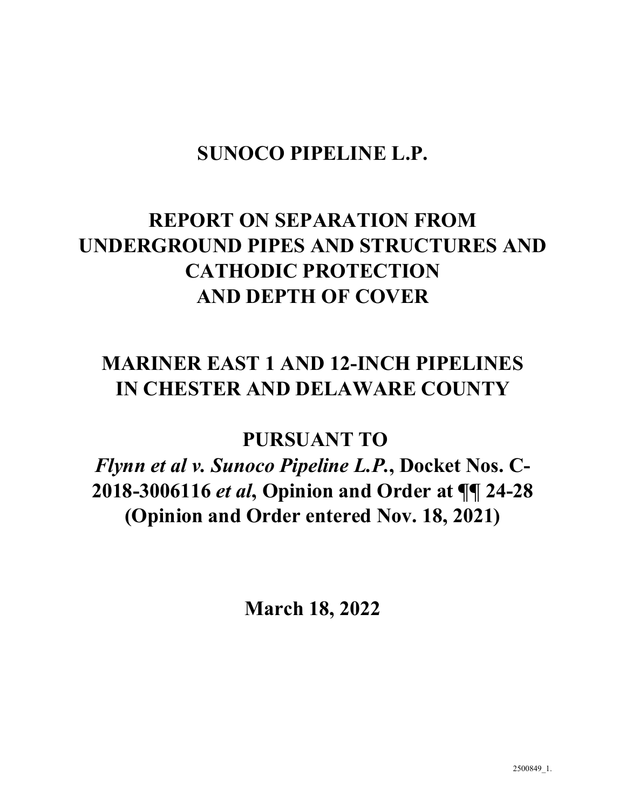# **SUNOCO PIPELINE L.P.**

# **REPORT ON SEPARATION FROM UNDERGROUND PIPES AND STRUCTURES AND CATHODIC PROTECTION AND DEPTH OF COVER**

# **MARINER EAST 1 AND 12-INCH PIPELINES IN CHESTER AND DELAWARE COUNTY**

**PURSUANT TO**

*Flynn et al v. Sunoco Pipeline L.P.***, Docket Nos. C-2018-3006116** *et al***, Opinion and Order at ¶¶ 24-28 (Opinion and Order entered Nov. 18, 2021)**

**March 18, 2022**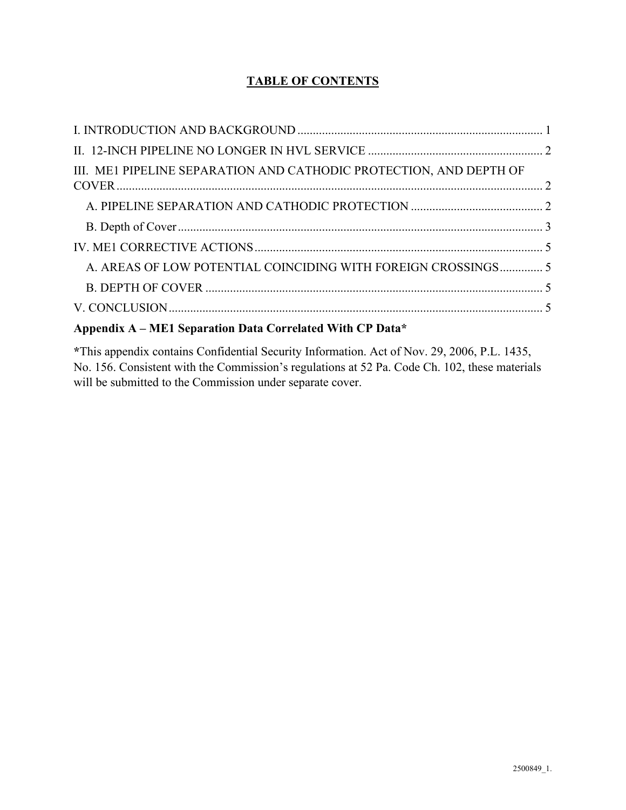# **TABLE OF CONTENTS**

| III. ME1 PIPELINE SEPARATION AND CATHODIC PROTECTION, AND DEPTH OF |  |
|--------------------------------------------------------------------|--|
|                                                                    |  |
|                                                                    |  |
|                                                                    |  |
| A. AREAS OF LOW POTENTIAL COINCIDING WITH FOREIGN CROSSINGS 5      |  |
|                                                                    |  |
|                                                                    |  |
|                                                                    |  |

# **Appendix A – ME1 Separation Data Correlated With CP Data\***

**\***This appendix contains Confidential Security Information. Act of Nov. 29, 2006, P.L. 1435, No. 156. Consistent with the Commission's regulations at 52 Pa. Code Ch. 102, these materials will be submitted to the Commission under separate cover.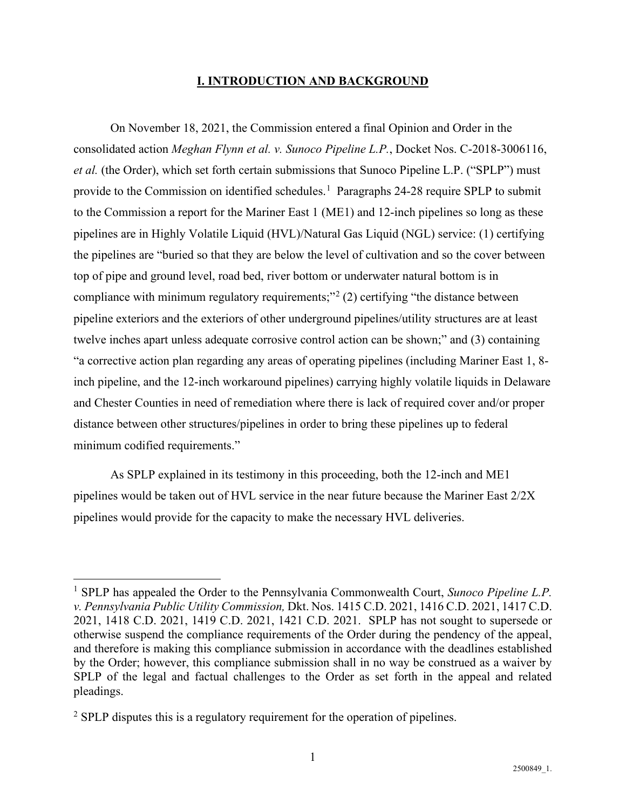## **I. INTRODUCTION AND BACKGROUND**

<span id="page-4-0"></span>On November 18, 2021, the Commission entered a final Opinion and Order in the consolidated action *Meghan Flynn et al. v. Sunoco Pipeline L.P.*, Docket Nos. C-2018-3006116, *et al.* (the Order), which set forth certain submissions that Sunoco Pipeline L.P. ("SPLP") must provide to the Commission on identified schedules.<sup>[1](#page-4-1)</sup> Paragraphs 24-28 require SPLP to submit to the Commission a report for the Mariner East 1 (ME1) and 12-inch pipelines so long as these pipelines are in Highly Volatile Liquid (HVL)/Natural Gas Liquid (NGL) service: (1) certifying the pipelines are "buried so that they are below the level of cultivation and so the cover between top of pipe and ground level, road bed, river bottom or underwater natural bottom is in compliance with minimum regulatory requirements;"<sup>[2](#page-4-2)</sup> (2) certifying "the distance between pipeline exteriors and the exteriors of other underground pipelines/utility structures are at least twelve inches apart unless adequate corrosive control action can be shown;" and (3) containing "a corrective action plan regarding any areas of operating pipelines (including Mariner East 1, 8 inch pipeline, and the 12-inch workaround pipelines) carrying highly volatile liquids in Delaware and Chester Counties in need of remediation where there is lack of required cover and/or proper distance between other structures/pipelines in order to bring these pipelines up to federal minimum codified requirements."

As SPLP explained in its testimony in this proceeding, both the 12-inch and ME1 pipelines would be taken out of HVL service in the near future because the Mariner East 2/2X pipelines would provide for the capacity to make the necessary HVL deliveries.

<span id="page-4-1"></span><sup>1</sup> SPLP has appealed the Order to the Pennsylvania Commonwealth Court, *Sunoco Pipeline L.P. v. Pennsylvania Public Utility Commission,* Dkt. Nos. 1415 C.D. 2021, 1416 C.D. 2021, 1417 C.D. 2021, 1418 C.D. 2021, 1419 C.D. 2021, 1421 C.D. 2021. SPLP has not sought to supersede or otherwise suspend the compliance requirements of the Order during the pendency of the appeal, and therefore is making this compliance submission in accordance with the deadlines established by the Order; however, this compliance submission shall in no way be construed as a waiver by SPLP of the legal and factual challenges to the Order as set forth in the appeal and related pleadings.

<span id="page-4-2"></span> $2$  SPLP disputes this is a regulatory requirement for the operation of pipelines.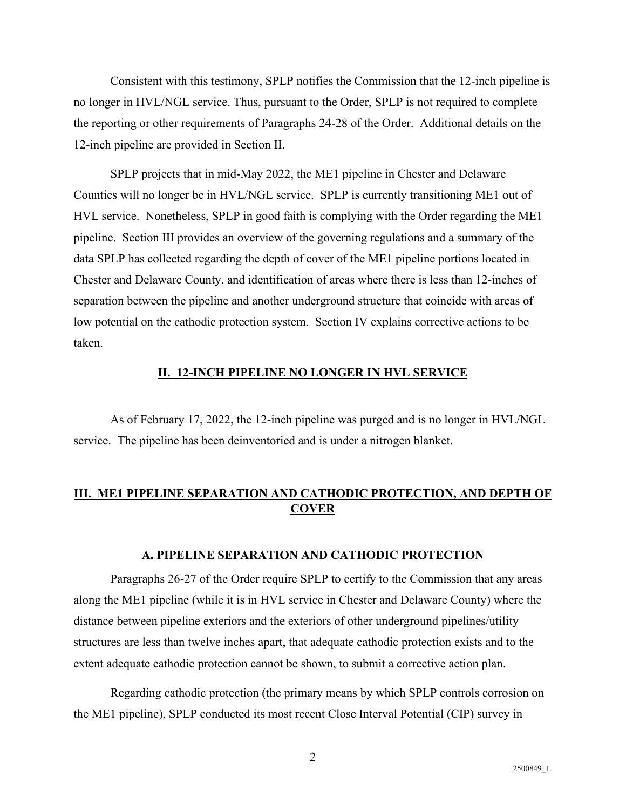Consistent with this testimony, SPLP notifies the Commission that the 12-inch pipeline is no longer in HVL/NGL service. Thus, pursuant to the Order, SPLP is not required to complete the reporting or other requirements of Paragraphs 24-28 of the Order. Additional details on the 12-inch pipeline are provided in Section II.

SPLP projects that in mid-May 2022, the ME1 pipeline in Chester and Delaware Counties will no longer be in HVL/NGL service. SPLP is currently transitioning ME1 out of HVL service. Nonetheless, SPLP in good faith is complying with the Order regarding the ME1 pipeline. Section III provides an overview of the governing regulations and a summary of the data SPLP has collected regarding the depth of cover of the ME1 pipeline portions located in Chester and Delaware County, and identification of areas where there is less than 12-inches of separation between the pipeline and another underground structure that coincide with areas of low potential on the cathodic protection system. Section IV explains corrective actions to be taken.

## **II. 12-INCH PIPELINE NO LONGER IN HVL SERVICE**

<span id="page-5-0"></span>As of February 17, 2022, the 12-inch pipeline was purged and is no longer in HVL/NGL service. The pipeline has been deinventoried and is under a nitrogen blanket.

# <span id="page-5-1"></span>**III. ME1 PIPELINE SEPARATION AND CATHODIC PROTECTION, AND DEPTH OF COVER**

### **A. PIPELINE SEPARATION AND CATHODIC PROTECTION**

<span id="page-5-2"></span>Paragraphs 26-27 of the Order require SPLP to certify to the Commission that any areas along the ME1 pipeline (while it is in HVL service in Chester and Delaware County) where the distance between pipeline exteriors and the exteriors of other underground pipelines/utility structures are less than twelve inches apart, that adequate cathodic protection exists and to the extent adequate cathodic protection cannot be shown, to submit a corrective action plan.

Regarding cathodic protection (the primary means by which SPLP controls corrosion on the ME1 pipeline), SPLP conducted its most recent Close Interval Potential (CIP) survey in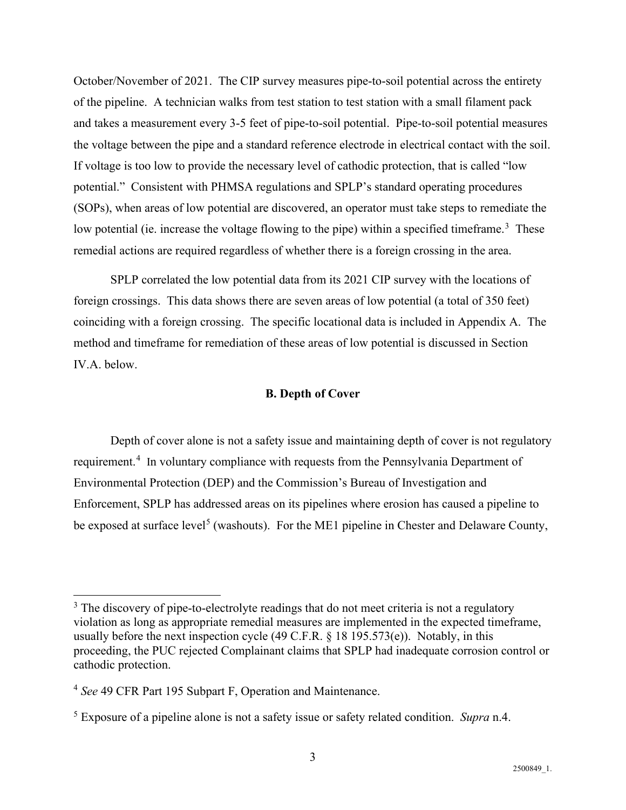October/November of 2021. The CIP survey measures pipe-to-soil potential across the entirety of the pipeline. A technician walks from test station to test station with a small filament pack and takes a measurement every 3-5 feet of pipe-to-soil potential. Pipe-to-soil potential measures the voltage between the pipe and a standard reference electrode in electrical contact with the soil. If voltage is too low to provide the necessary level of cathodic protection, that is called "low potential." Consistent with PHMSA regulations and SPLP's standard operating procedures (SOPs), when areas of low potential are discovered, an operator must take steps to remediate the low potential (ie. increase the voltage flowing to the pipe) within a specified timeframe.<sup>[3](#page-6-1)</sup> These remedial actions are required regardless of whether there is a foreign crossing in the area.

SPLP correlated the low potential data from its 2021 CIP survey with the locations of foreign crossings. This data shows there are seven areas of low potential (a total of 350 feet) coinciding with a foreign crossing. The specific locational data is included in Appendix A. The method and timeframe for remediation of these areas of low potential is discussed in Section IV.A. below.

## **B. Depth of Cover**

<span id="page-6-0"></span>Depth of cover alone is not a safety issue and maintaining depth of cover is not regulatory requirement.<sup>[4](#page-6-2)</sup> In voluntary compliance with requests from the Pennsylvania Department of Environmental Protection (DEP) and the Commission's Bureau of Investigation and Enforcement, SPLP has addressed areas on its pipelines where erosion has caused a pipeline to be exposed at surface level<sup>[5](#page-6-3)</sup> (washouts). For the ME1 pipeline in Chester and Delaware County,

<span id="page-6-1"></span> $3$  The discovery of pipe-to-electrolyte readings that do not meet criteria is not a regulatory violation as long as appropriate remedial measures are implemented in the expected timeframe, usually before the next inspection cycle (49 C.F.R.  $\S$  18 195.573(e)). Notably, in this proceeding, the PUC rejected Complainant claims that SPLP had inadequate corrosion control or cathodic protection.

<span id="page-6-2"></span><sup>4</sup> *See* 49 CFR Part 195 Subpart F, Operation and Maintenance.

<span id="page-6-3"></span><sup>5</sup> Exposure of a pipeline alone is not a safety issue or safety related condition. *Supra* n.4.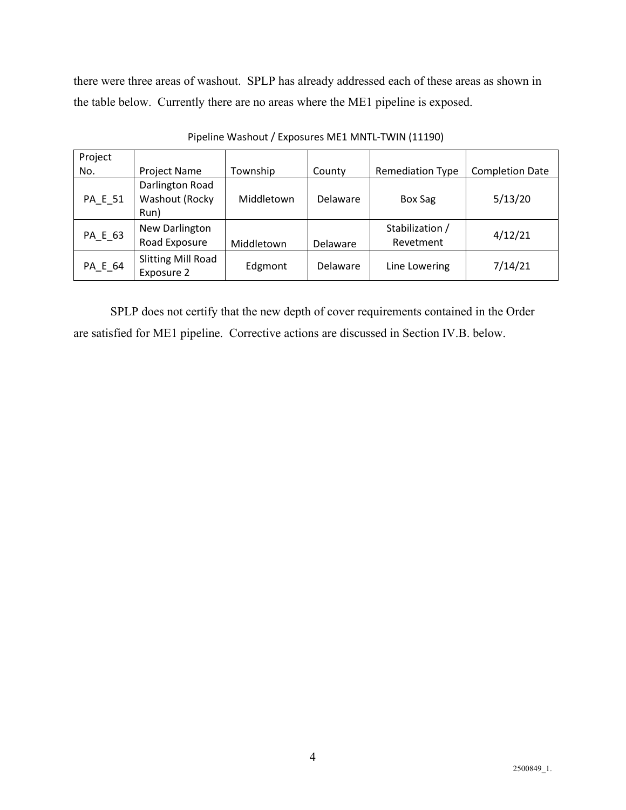there were three areas of washout. SPLP has already addressed each of these areas as shown in the table below. Currently there are no areas where the ME1 pipeline is exposed.

| Project |                                         |            |                 |                         |                        |
|---------|-----------------------------------------|------------|-----------------|-------------------------|------------------------|
| No.     | Project Name                            | Township   | County          | <b>Remediation Type</b> | <b>Completion Date</b> |
|         | Darlington Road                         |            |                 |                         |                        |
| PA_E_51 | Washout (Rocky                          | Middletown | <b>Delaware</b> | <b>Box Sag</b>          | 5/13/20                |
|         | Run)                                    |            |                 |                         |                        |
|         | New Darlington                          |            |                 | Stabilization /         |                        |
| PA_E_63 | Road Exposure                           | Middletown | Delaware        | Revetment               | 4/12/21                |
| PA_E_64 | <b>Slitting Mill Road</b><br>Exposure 2 | Edgmont    | <b>Delaware</b> | Line Lowering           | 7/14/21                |

Pipeline Washout / Exposures ME1 MNTL-TWIN (11190)

SPLP does not certify that the new depth of cover requirements contained in the Order are satisfied for ME1 pipeline. Corrective actions are discussed in Section IV.B. below.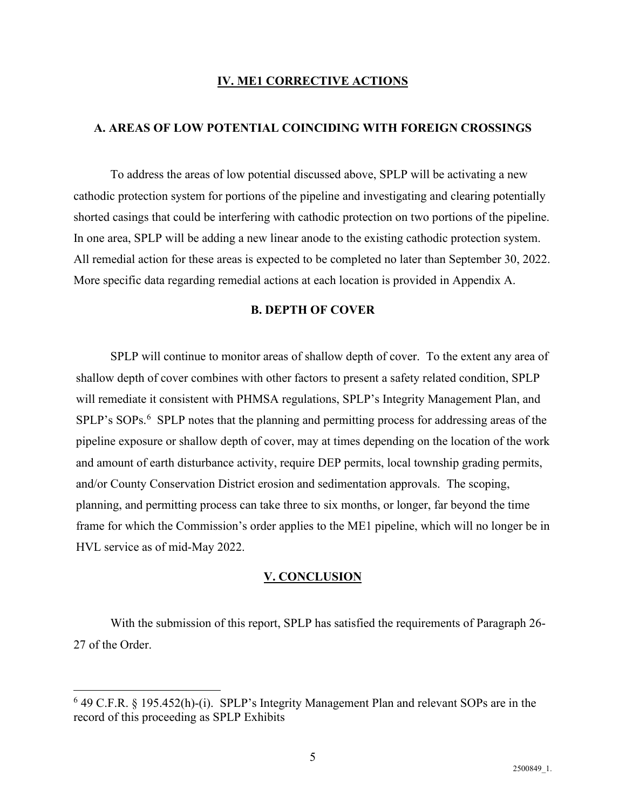## **IV. ME1 CORRECTIVE ACTIONS**

### <span id="page-8-1"></span><span id="page-8-0"></span>**A. AREAS OF LOW POTENTIAL COINCIDING WITH FOREIGN CROSSINGS**

To address the areas of low potential discussed above, SPLP will be activating a new cathodic protection system for portions of the pipeline and investigating and clearing potentially shorted casings that could be interfering with cathodic protection on two portions of the pipeline. In one area, SPLP will be adding a new linear anode to the existing cathodic protection system. All remedial action for these areas is expected to be completed no later than September 30, 2022. More specific data regarding remedial actions at each location is provided in Appendix A.

# **B. DEPTH OF COVER**

<span id="page-8-2"></span>SPLP will continue to monitor areas of shallow depth of cover. To the extent any area of shallow depth of cover combines with other factors to present a safety related condition, SPLP will remediate it consistent with PHMSA regulations, SPLP's Integrity Management Plan, and SPLP's SOPs.<sup>[6](#page-8-4)</sup> SPLP notes that the planning and permitting process for addressing areas of the pipeline exposure or shallow depth of cover, may at times depending on the location of the work and amount of earth disturbance activity, require DEP permits, local township grading permits, and/or County Conservation District erosion and sedimentation approvals. The scoping, planning, and permitting process can take three to six months, or longer, far beyond the time frame for which the Commission's order applies to the ME1 pipeline, which will no longer be in HVL service as of mid-May 2022.

#### **V. CONCLUSION**

<span id="page-8-3"></span>With the submission of this report, SPLP has satisfied the requirements of Paragraph 26- 27 of the Order.

<span id="page-8-4"></span> $6$  49 C.F.R. § 195.452(h)-(i). SPLP's Integrity Management Plan and relevant SOPs are in the record of this proceeding as SPLP Exhibits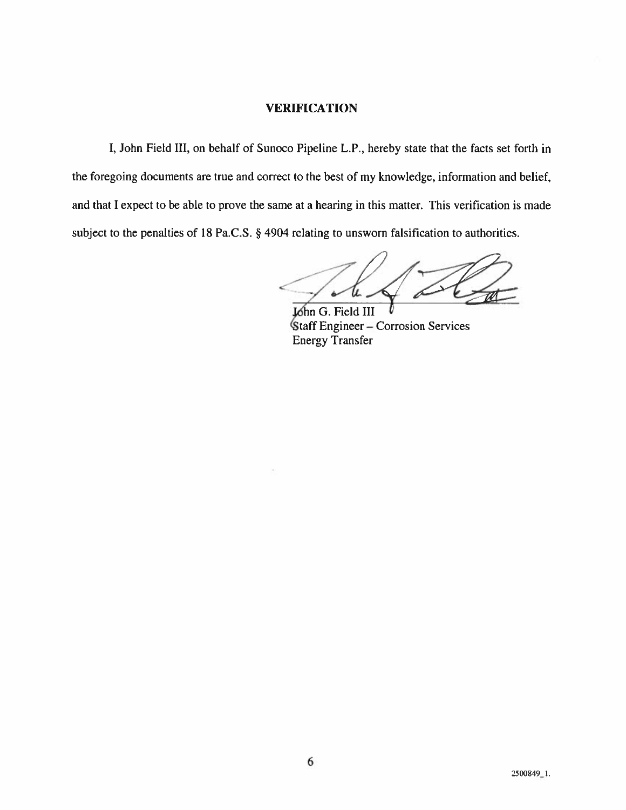# **VERIFICATION**

I, John Field III, on behalf of Sunoco Pipeline L.P., hereby state that the facts set forth in the foregoing documents are true and correct to the best of my knowledge, information and belief, and that I expect to be able to prove the same at a hearing in this matter. This verification is made subject to the penalties of 18 Pa.C.S. § 4904 relating to unsworn falsification to authorities.

John G. Field III **Staff Engineer – Corrosion Services Energy Transfer**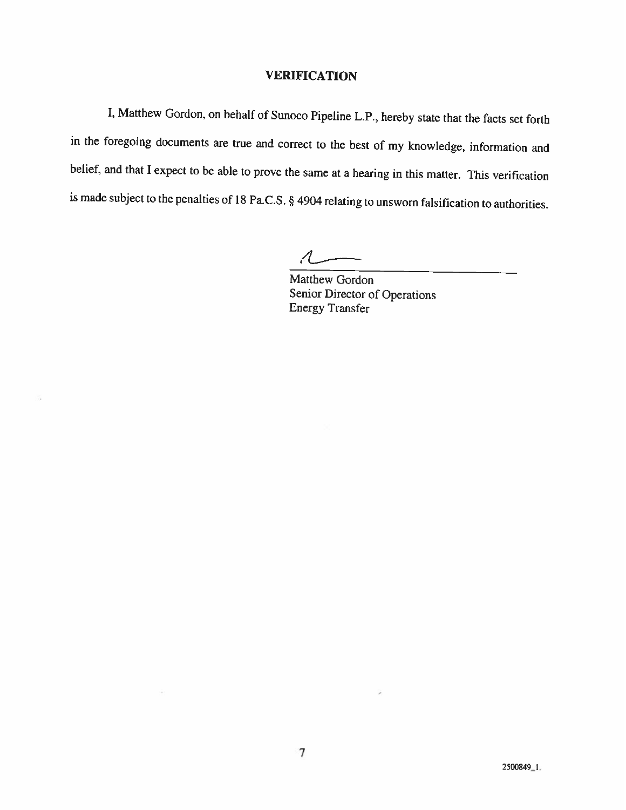# **VERIFICATION**

I, Matthew Gordon, on behalf of Sunoco Pipeline L.P., hereby state that the facts set forth in the foregoing documents are true and correct to the best of my knowledge, information and belief, and that I expect to be able to prove the same at a hearing in this matter. This verification is made subject to the penalties of 18 Pa.C.S. § 4904 relating to unsworn falsification to authorities.

õ.

Matthew Gordon Senior Director of Operations **Energy Transfer**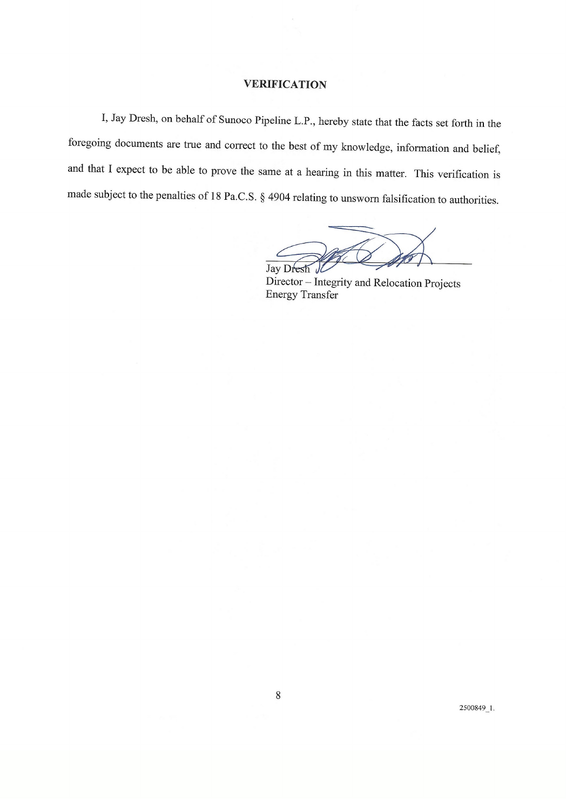## **VERIFICATION**

I, Jay Dresh, on behalf of Sunoco Pipeline L.P., hereby state that the facts set forth in the foregoing documents are true and correct to the best of my knowledge, information and belief, and that I expect to be able to prove the same at a hearing in this matter. This verification is made subject to the penalties of 18 Pa.C.S. § 4904 relating to unsworn falsification to authorities.

Jay Dresh

Director - Integrity and Relocation Projects **Energy Transfer** 

2500849\_1.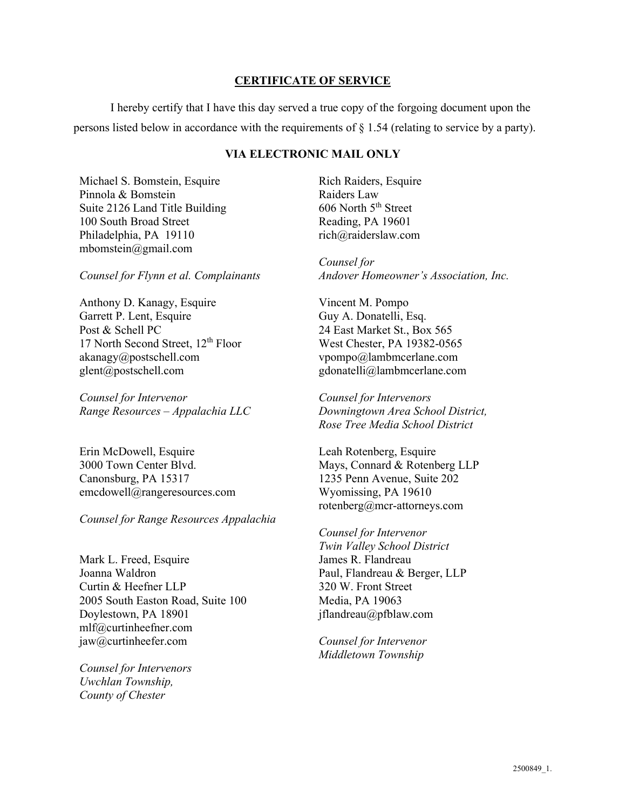# **CERTIFICATE OF SERVICE**

I hereby certify that I have this day served a true copy of the forgoing document upon the persons listed below in accordance with the requirements of § 1.54 (relating to service by a party).

# **VIA ELECTRONIC MAIL ONLY**

Michael S. Bomstein, Esquire Pinnola & Bomstein Suite 2126 Land Title Building 100 South Broad Street Philadelphia, PA 19110 mbomstein@gmail.com

*Counsel for Flynn et al. Complainants*

Anthony D. Kanagy, Esquire Garrett P. Lent, Esquire Post & Schell PC 17 North Second Street, 12<sup>th</sup> Floor akanagy@postschell.com glent@postschell.com

*Counsel for Intervenor Range Resources – Appalachia LLC*

Erin McDowell, Esquire 3000 Town Center Blvd. Canonsburg, PA 15317 emcdowell@rangeresources.com

### *Counsel for Range Resources Appalachia*

Mark L. Freed, Esquire Joanna Waldron Curtin & Heefner LLP 2005 South Easton Road, Suite 100 Doylestown, PA 18901 mlf@curtinheefner.com jaw@curtinheefer.com

*Counsel for Intervenors Uwchlan Township, County of Chester*

Rich Raiders, Esquire Raiders Law  $606$  North  $5<sup>th</sup>$  Street Reading, PA 19601 rich@raiderslaw.com

*Counsel for Andover Homeowner's Association, Inc.*

Vincent M. Pompo Guy A. Donatelli, Esq. 24 East Market St., Box 565 West Chester, PA 19382-0565 vpompo@lambmcerlane.com gdonatelli@lambmcerlane.com

*Counsel for Intervenors Downingtown Area School District, Rose Tree Media School District*

Leah Rotenberg, Esquire Mays, Connard & Rotenberg LLP 1235 Penn Avenue, Suite 202 Wyomissing, PA 19610 rotenberg@mcr-attorneys.com

*Counsel for Intervenor Twin Valley School District* James R. Flandreau Paul, Flandreau & Berger, LLP 320 W. Front Street Media, PA 19063 jflandreau@pfblaw.com

*Counsel for Intervenor Middletown Township*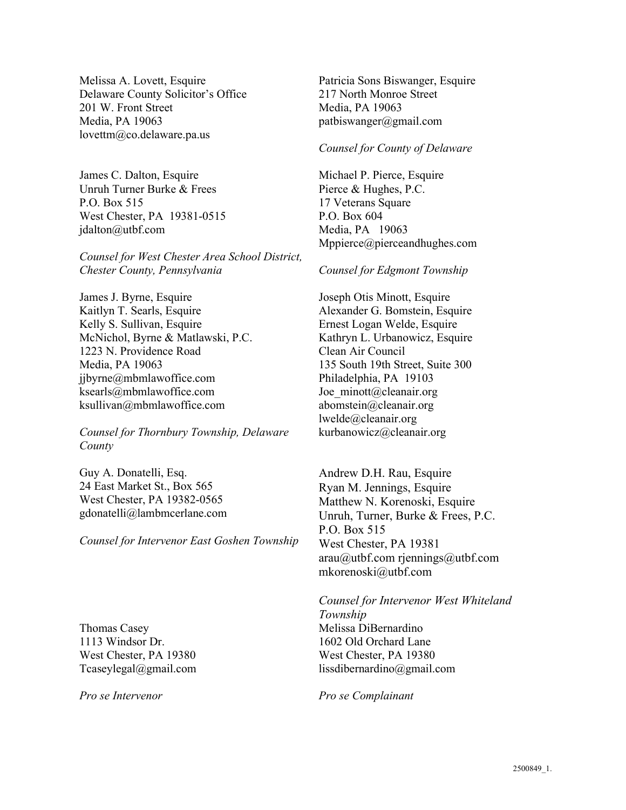Melissa A. Lovett, Esquire Delaware County Solicitor's Office 201 W. Front Street Media, PA 19063 lovettm@co.delaware.pa.us

James C. Dalton, Esquire Unruh Turner Burke & Frees P.O. Box 515 West Chester, PA 19381-0515 jdalton@utbf.com

*Counsel for West Chester Area School District, Chester County, Pennsylvania*

James J. Byrne, Esquire Kaitlyn T. Searls, Esquire Kelly S. Sullivan, Esquire McNichol, Byrne & Matlawski, P.C. 1223 N. Providence Road Media, PA 19063 ijbyrne@mbmlawoffice.com ksearls@mbmlawoffice.com ksullivan@mbmlawoffice.com

*Counsel for Thornbury Township, Delaware County*

Guy A. Donatelli, Esq. 24 East Market St., Box 565 West Chester, PA 19382-0565 gdonatelli@lambmcerlane.com

*Counsel for Intervenor East Goshen Township*

Thomas Casey 1113 Windsor Dr. West Chester, PA 19380 Tcaseylegal@gmail.com

*Pro se Intervenor*

Patricia Sons Biswanger, Esquire 217 North Monroe Street Media, PA 19063 patbiswanger@gmail.com

#### *Counsel for County of Delaware*

Michael P. Pierce, Esquire Pierce & Hughes, P.C. 17 Veterans Square P.O. Box 604 Media, PA 19063 Mppierce@pierceandhughes.com

#### *Counsel for Edgmont Township*

Joseph Otis Minott, Esquire Alexander G. Bomstein, Esquire Ernest Logan Welde, Esquire Kathryn L. Urbanowicz, Esquire Clean Air Council 135 South 19th Street, Suite 300 Philadelphia, PA 19103 Joe\_minott@cleanair.org abomstein@cleanair.org lwelde@cleanair.org kurbanowicz@cleanair.org

Andrew D.H. Rau, Esquire Ryan M. Jennings, Esquire Matthew N. Korenoski, Esquire Unruh, Turner, Burke & Frees, P.C. P.O. Box 515 West Chester, PA 19381 arau@utbf.com rjennings@utbf.com mkorenoski@utbf.com

*Counsel for Intervenor West Whiteland Township* Melissa DiBernardino 1602 Old Orchard Lane West Chester, PA 19380 lissdibernardino@gmail.com

*Pro se Complainant*